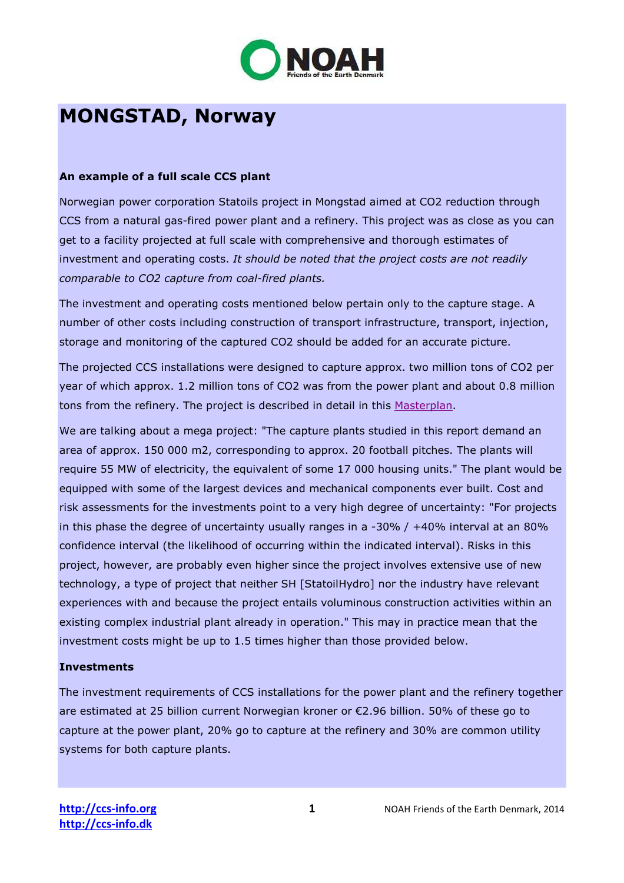

# **MONGSTAD, Norway**

### **An example of a full scale CCS plant**

Norwegian power corporation Statoils project in Mongstad aimed at CO2 reduction through CCS from a natural gas-fired power plant and a refinery. This project was as close as you can get to a facility projected at full scale with comprehensive and thorough estimates of investment and operating costs. *It should be noted that the project costs are not readily comparable to CO2 capture from coal-fired plants.*

The investment and operating costs mentioned below pertain only to the capture stage. A number of other costs including construction of transport infrastructure, transport, injection, storage and monitoring of the captured CO2 should be added for an accurate picture.

The projected CCS installations were designed to capture approx. two million tons of CO2 per year of which approx. 1.2 million tons of CO2 was from the power plant and about 0.8 million tons from the refinery. The project is described in detail in this Masterplan.

We are talking about a mega project: "The capture plants studied in this report demand an area of approx. 150 000 m2, corresponding to approx. 20 football pitches. The plants will require 55 MW of electricity, the equivalent of some 17 000 housing units." The plant would be equipped with some of the largest devices and mechanical components ever built. Cost and risk assessments for the investments point to a very high degree of uncertainty: "For projects in this phase the degree of uncertainty usually ranges in a -30% / +40% interval at an 80% confidence interval (the likelihood of occurring within the indicated interval). Risks in this project, however, are probably even higher since the project involves extensive use of new technology, a type of project that neither SH [StatoilHydro] nor the industry have relevant experiences with and because the project entails voluminous construction activities within an existing complex industrial plant already in operation." This may in practice mean that the investment costs might be up to 1.5 times higher than those provided below.

#### **Investments**

The investment requirements of CCS installations for the power plant and the refinery together are estimated at 25 billion current Norwegian kroner or €2.96 billion. 50% of these go to capture at the power plant, 20% go to capture at the refinery and 30% are common utility systems for both capture plants.